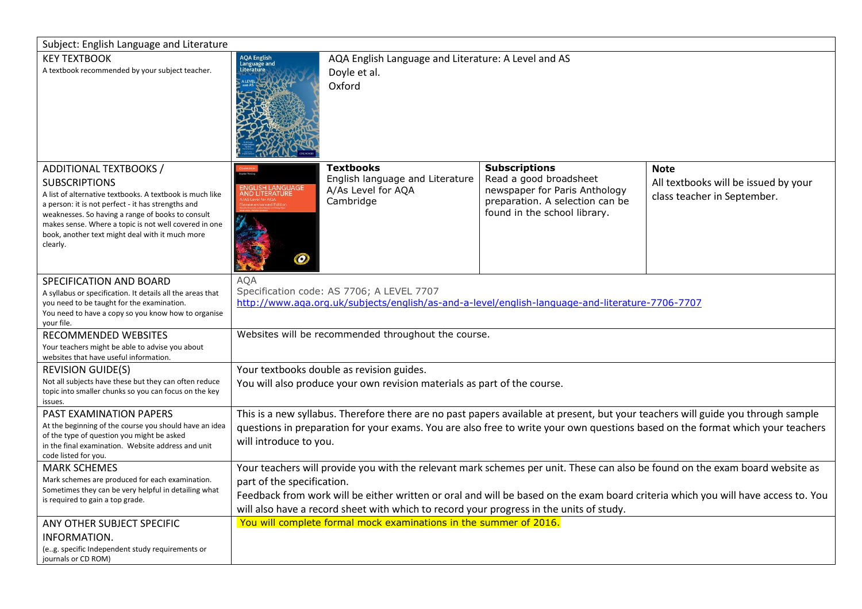| Subject: English Language and Literature                                                                                                                                                                                                                                                                                                      |                                                                                                                                                                                                                                                                                                                                                                                            |                                                                                        |                                                                                                                                                    |                                                                                    |
|-----------------------------------------------------------------------------------------------------------------------------------------------------------------------------------------------------------------------------------------------------------------------------------------------------------------------------------------------|--------------------------------------------------------------------------------------------------------------------------------------------------------------------------------------------------------------------------------------------------------------------------------------------------------------------------------------------------------------------------------------------|----------------------------------------------------------------------------------------|----------------------------------------------------------------------------------------------------------------------------------------------------|------------------------------------------------------------------------------------|
| <b>KEY TEXTBOOK</b><br>A textbook recommended by your subject teacher.                                                                                                                                                                                                                                                                        | AQA English<br>Language and<br>Literature<br>AQA English Language and Literature: A Level and AS<br>Doyle et al.<br>Oxford                                                                                                                                                                                                                                                                 |                                                                                        |                                                                                                                                                    |                                                                                    |
| ADDITIONAL TEXTBOOKS /<br><b>SUBSCRIPTIONS</b><br>A list of alternative textbooks. A textbook is much like<br>a person: it is not perfect - it has strengths and<br>weaknesses. So having a range of books to consult<br>makes sense. Where a topic is not well covered in one<br>book, another text might deal with it much more<br>clearly. | NGLISH LANGUAGE<br>ND LITERATURE<br>0                                                                                                                                                                                                                                                                                                                                                      | <b>Textbooks</b><br>English language and Literature<br>A/As Level for AQA<br>Cambridge | <b>Subscriptions</b><br>Read a good broadsheet<br>newspaper for Paris Anthology<br>preparation. A selection can be<br>found in the school library. | <b>Note</b><br>All textbooks will be issued by your<br>class teacher in September. |
| SPECIFICATION AND BOARD<br>A syllabus or specification. It details all the areas that<br>you need to be taught for the examination.<br>You need to have a copy so you know how to organise<br>your file.                                                                                                                                      | <b>AOA</b><br>Specification code: AS 7706; A LEVEL 7707<br>http://www.aga.org.uk/subjects/english/as-and-a-level/english-language-and-literature-7706-7707                                                                                                                                                                                                                                 |                                                                                        |                                                                                                                                                    |                                                                                    |
| RECOMMENDED WEBSITES<br>Your teachers might be able to advise you about<br>websites that have useful information.                                                                                                                                                                                                                             | Websites will be recommended throughout the course.                                                                                                                                                                                                                                                                                                                                        |                                                                                        |                                                                                                                                                    |                                                                                    |
| <b>REVISION GUIDE(S)</b><br>Not all subjects have these but they can often reduce<br>topic into smaller chunks so you can focus on the key<br>issues.                                                                                                                                                                                         | Your textbooks double as revision guides.<br>You will also produce your own revision materials as part of the course.                                                                                                                                                                                                                                                                      |                                                                                        |                                                                                                                                                    |                                                                                    |
| PAST EXAMINATION PAPERS<br>At the beginning of the course you should have an idea<br>of the type of question you might be asked<br>in the final examination. Website address and unit<br>code listed for you.                                                                                                                                 | This is a new syllabus. Therefore there are no past papers available at present, but your teachers will guide you through sample<br>questions in preparation for your exams. You are also free to write your own questions based on the format which your teachers<br>will introduce to you.                                                                                               |                                                                                        |                                                                                                                                                    |                                                                                    |
| <b>MARK SCHEMES</b><br>Mark schemes are produced for each examination.<br>Sometimes they can be very helpful in detailing what<br>is required to gain a top grade.                                                                                                                                                                            | Your teachers will provide you with the relevant mark schemes per unit. These can also be found on the exam board website as<br>part of the specification.<br>Feedback from work will be either written or oral and will be based on the exam board criteria which you will have access to. You<br>will also have a record sheet with which to record your progress in the units of study. |                                                                                        |                                                                                                                                                    |                                                                                    |
| ANY OTHER SUBJECT SPECIFIC<br>INFORMATION.<br>(e.g. specific Independent study requirements or<br>journals or CD ROM)                                                                                                                                                                                                                         |                                                                                                                                                                                                                                                                                                                                                                                            | You will complete formal mock examinations in the summer of 2016.                      |                                                                                                                                                    |                                                                                    |